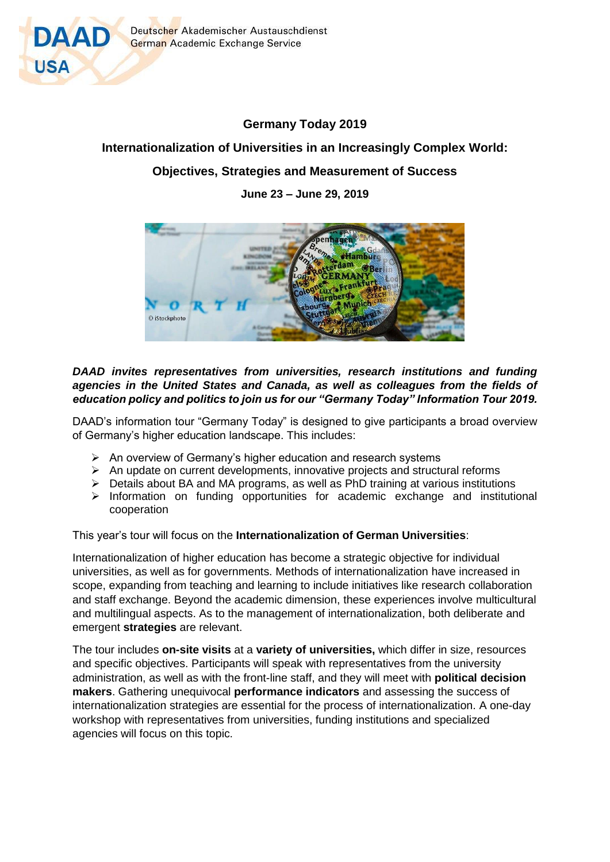

# **Germany Today 2019**

## **Internationalization of Universities in an Increasingly Complex World:**

# **Objectives, Strategies and Measurement of Success**

**June 23 – June 29, 2019**



## *DAAD invites representatives from universities, research institutions and funding agencies in the United States and Canada, as well as colleagues from the fields of education policy and politics to join us for our "Germany Today" Information Tour 2019.*

DAAD's information tour "Germany Today" is designed to give participants a broad overview of Germany's higher education landscape. This includes:

- ➢ An overview of Germany's higher education and research systems
- $\triangleright$  An update on current developments, innovative projects and structural reforms
- ➢ Details about BA and MA programs, as well as PhD training at various institutions
- $\triangleright$  Information on funding opportunities for academic exchange and institutional cooperation

## This year's tour will focus on the **Internationalization of German Universities**:

Internationalization of higher education has become a strategic objective for individual universities, as well as for governments. Methods of internationalization have increased in scope, expanding from teaching and learning to include initiatives like research collaboration and staff exchange. Beyond the academic dimension, these experiences involve multicultural and multilingual aspects. As to the management of internationalization, both deliberate and emergent **strategies** are relevant.

The tour includes **on-site visits** at a **variety of universities,** which differ in size, resources and specific objectives. Participants will speak with representatives from the university administration, as well as with the front-line staff, and they will meet with **political decision makers**. Gathering unequivocal **performance indicators** and assessing the success of internationalization strategies are essential for the process of internationalization. A one-day workshop with representatives from universities, funding institutions and specialized agencies will focus on this topic.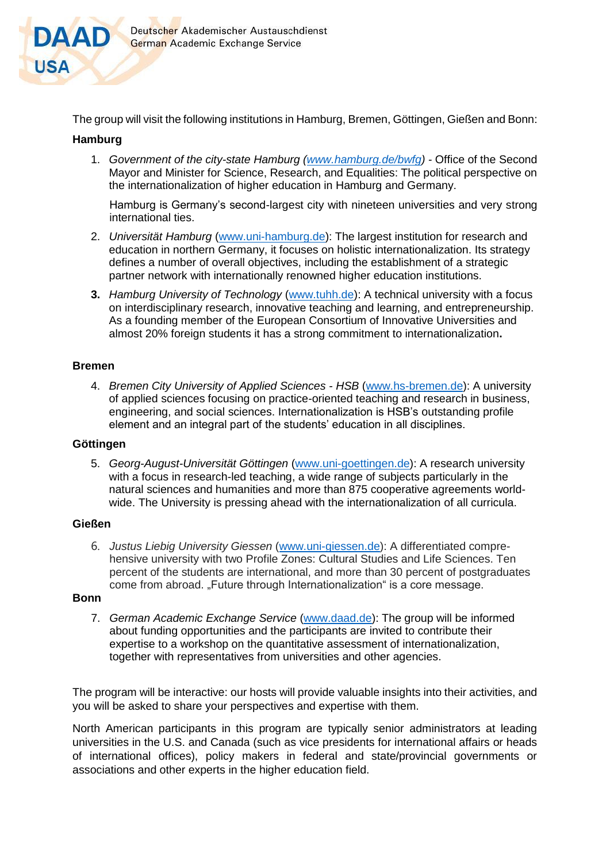

The group will visit the following institutions in Hamburg, Bremen, Göttingen, Gießen and Bonn:

#### **Hamburg**

1. *Government of the city-state Hamburg [\(www.hamburg.de/bwfg\)](http://www.hamburg.de/bwfg) -* Office of the Second Mayor and Minister for Science, Research, and Equalities: The political perspective on the internationalization of higher education in Hamburg and Germany.

Hamburg is Germany's second-largest city with nineteen universities and very strong international ties.

- 2. *Universität Hamburg* [\(www.uni-hamburg.de\)](http://www.uni-hamburg.de/): The largest institution for research and education in northern Germany, it focuses on holistic internationalization. Its strategy defines a number of overall objectives, including the establishment of a strategic partner network with internationally renowned higher education institutions.
- **3.** *Hamburg University of Technology* [\(www.tuhh.de\)](http://www.tuhh.de/): A technical university with a focus on interdisciplinary research, innovative teaching and learning, and entrepreneurship. As a founding member of the European Consortium of Innovative Universities and almost 20% foreign students it has a strong commitment to internationalization**.**

#### **Bremen**

4. *Bremen City University of Applied Sciences - HSB* [\(www.hs-bremen.de\)](http://www.hs-bremen.de/): A university of applied sciences focusing on practice-oriented teaching and research in business, engineering, and social sciences. Internationalization is HSB's outstanding profile element and an integral part of the students' education in all disciplines.

#### **Göttingen**

5. *Georg-August-Universität Göttingen* [\(www.uni-goettingen.de\)](http://www.uni-goettingen.de/): A research university with a focus in research-led teaching, a wide range of subjects particularly in the natural sciences and humanities and more than 875 cooperative agreements worldwide. The University is pressing ahead with the internationalization of all curricula.

#### **Gießen**

6. *Justus Liebig University Giessen* [\(www.uni-giessen.de\)](http://www.uni-giessen.de/): A differentiated comprehensive university with two Profile Zones: Cultural Studies and Life Sciences. Ten percent of the students are international, and more than 30 percent of postgraduates come from abroad. "Future through Internationalization" is a core message.

#### **Bonn**

7. *German Academic Exchange Service* [\(www.daad.de\)](http://www.daad.de/): The group will be informed about funding opportunities and the participants are invited to contribute their expertise to a workshop on the quantitative assessment of internationalization, together with representatives from universities and other agencies.

The program will be interactive: our hosts will provide valuable insights into their activities, and you will be asked to share your perspectives and expertise with them.

North American participants in this program are typically senior administrators at leading universities in the U.S. and Canada (such as vice presidents for international affairs or heads of international offices), policy makers in federal and state/provincial governments or associations and other experts in the higher education field.